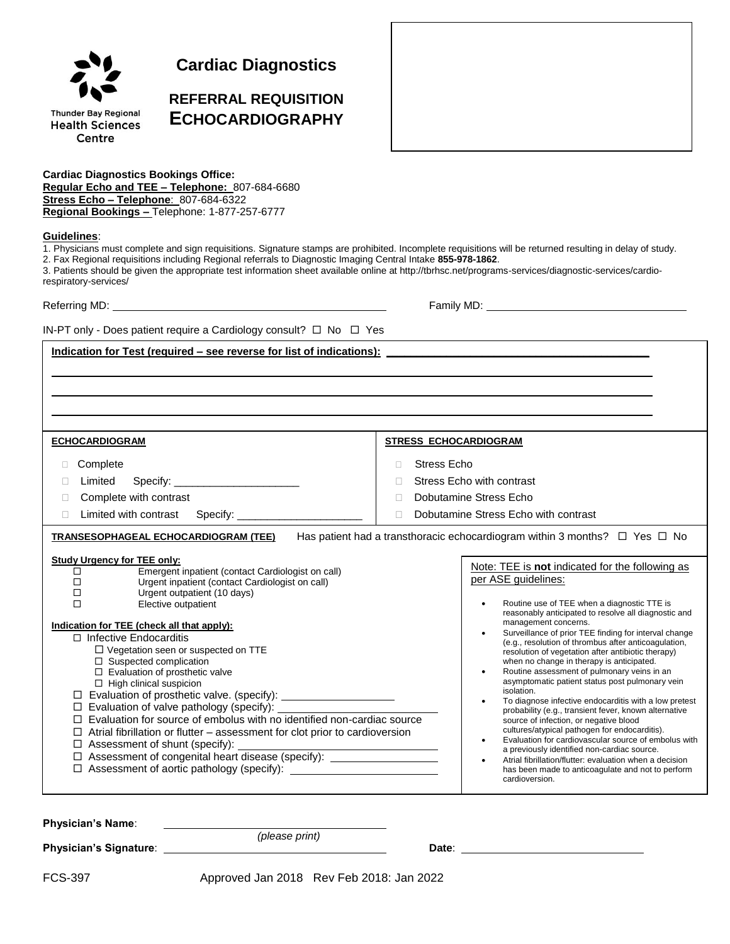

**Cardiac Diagnostics**

# **REFERRAL REQUISITION ECHOCARDIOGRAPHY**

**Cardiac Diagnostics Bookings Office: Regular Echo and TEE – Telephone:** 807-684-6680 **Stress Echo – Telephone**: 807-684-6322 **Regional Bookings –** Telephone: 1-877-257-6777

## **Guidelines**:

1. Physicians must complete and sign requisitions. Signature stamps are prohibited. Incomplete requisitions will be returned resulting in delay of study. 2. Fax Regional requisitions including Regional referrals to Diagnostic Imaging Central Intake **855-978-1862**.

3. Patients should be given the appropriate test information sheet available online at http://tbrhsc.net/programs-services/diagnostic-services/cardiorespiratory-services/

Referring MD: Family MD:

IN-PT only - Does patient require a Cardiology consult?  $\Box$  No  $\Box$  Yes

#### **Indication for Test (required – see reverse for list of indications):**

| <b>ECHOCARDIOGRAM</b>                                                                                                                                                                                                                                                                                                                                                                                                                                                                                                                                                                                                                                                                                                          | <b>STRESS ECHOCARDIOGRAM</b>                                                                                                                                                                                                                                                                                                                                                                                                                                                                                                                                                                                                                                                                                                                                                                                                                                                                                                                                                                                 |  |  |  |
|--------------------------------------------------------------------------------------------------------------------------------------------------------------------------------------------------------------------------------------------------------------------------------------------------------------------------------------------------------------------------------------------------------------------------------------------------------------------------------------------------------------------------------------------------------------------------------------------------------------------------------------------------------------------------------------------------------------------------------|--------------------------------------------------------------------------------------------------------------------------------------------------------------------------------------------------------------------------------------------------------------------------------------------------------------------------------------------------------------------------------------------------------------------------------------------------------------------------------------------------------------------------------------------------------------------------------------------------------------------------------------------------------------------------------------------------------------------------------------------------------------------------------------------------------------------------------------------------------------------------------------------------------------------------------------------------------------------------------------------------------------|--|--|--|
| Complete<br>Specify: the contract of the contract of the contract of the contract of the contract of the contract of the contract of the contract of the contract of the contract of the contract of the contract of the contract of the c<br>Limited<br>Complete with contrast<br>Limited with contrast Specify: _______________<br>П                                                                                                                                                                                                                                                                                                                                                                                         | Stress Echo<br>П.<br>Stress Echo with contrast<br>Dobutamine Stress Echo<br>$\mathbf{L}$<br>Dobutamine Stress Echo with contrast<br>П.                                                                                                                                                                                                                                                                                                                                                                                                                                                                                                                                                                                                                                                                                                                                                                                                                                                                       |  |  |  |
| Has patient had a transthoracic echocardiogram within 3 months? $\Box$ Yes $\Box$ No<br><b>TRANSESOPHAGEAL ECHOCARDIOGRAM (TEE)</b>                                                                                                                                                                                                                                                                                                                                                                                                                                                                                                                                                                                            |                                                                                                                                                                                                                                                                                                                                                                                                                                                                                                                                                                                                                                                                                                                                                                                                                                                                                                                                                                                                              |  |  |  |
| <b>Study Urgency for TEE only:</b><br>Emergent inpatient (contact Cardiologist on call)<br>$\Box$<br>$\Box$<br>Urgent inpatient (contact Cardiologist on call)<br>$\Box$<br>Urgent outpatient (10 days)<br>$\Box$<br>Elective outpatient<br>Indication for TEE (check all that apply):<br>$\Box$ Infective Endocarditis<br>$\Box$ Vegetation seen or suspected on TTE<br>$\Box$ Suspected complication<br>$\Box$ Evaluation of prosthetic valve<br>$\Box$ High clinical suspicion<br>Evaluation of prosthetic valve. (specify): ______________________<br>□<br>Evaluation for source of embolus with no identified non-cardiac source<br>Atrial fibrillation or flutter - assessment for clot prior to cardioversion<br>□<br>□ | Note: TEE is not indicated for the following as<br>per ASE guidelines:<br>Routine use of TEE when a diagnostic TTE is<br>reasonably anticipated to resolve all diagnostic and<br>management concerns.<br>Surveillance of prior TEE finding for interval change<br>(e.g., resolution of thrombus after anticoagulation,<br>resolution of vegetation after antibiotic therapy)<br>when no change in therapy is anticipated.<br>Routine assessment of pulmonary veins in an<br>asymptomatic patient status post pulmonary vein<br>isolation.<br>To diagnose infective endocarditis with a low pretest<br>probability (e.g., transient fever, known alternative<br>source of infection, or negative blood<br>cultures/atypical pathogen for endocarditis).<br>Evaluation for cardiovascular source of embolus with<br>$\bullet$<br>a previously identified non-cardiac source.<br>Atrial fibrillation/flutter: evaluation when a decision<br>has been made to anticoagulate and not to perform<br>cardioversion. |  |  |  |

| <b>Physician's Name:</b>      |                                             |       |  |
|-------------------------------|---------------------------------------------|-------|--|
|                               | (please print)                              |       |  |
| <b>Physician's Signature:</b> |                                             | Date: |  |
|                               |                                             |       |  |
| FCS-397                       | Approved Jan 2018 Rev Feb $2018$ Jan $2022$ |       |  |

FCS-397 Approved Jan 2018 Rev Feb 2018: Jan 2022